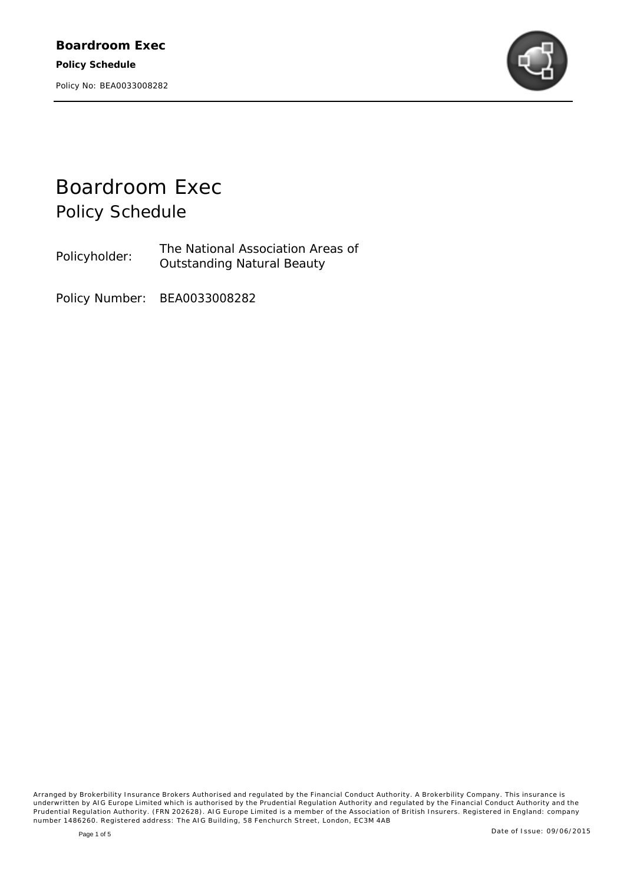

# *Boardroom Exec Policy Schedule*

Policyholder: The National Association Areas of Outstanding Natural Beauty

Policy Number: BEA0033008282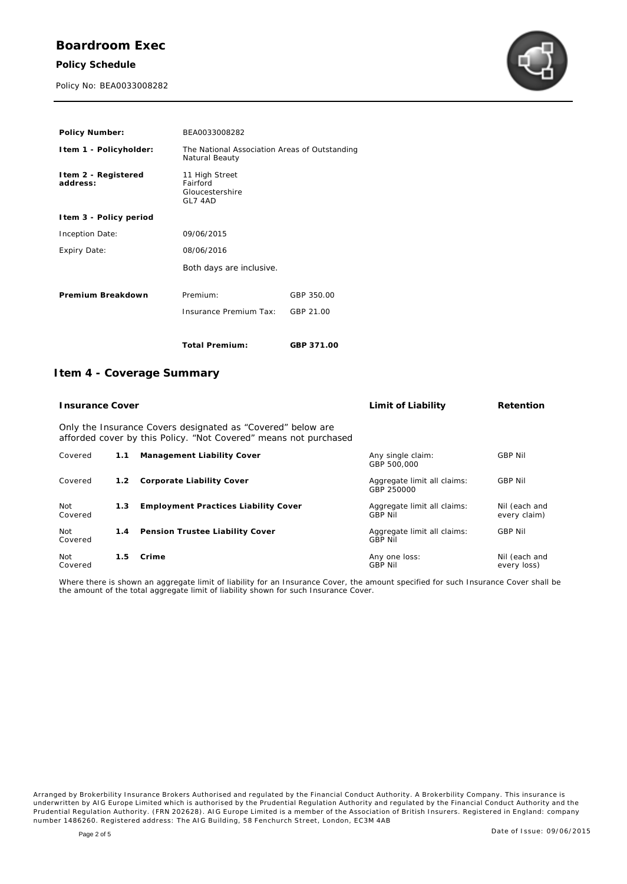## **Boardroom Exec**

**Policy Schedule**

Policy No: BEA0033008282



| Policy Number:                   | BEA0033008282                                                   |            |
|----------------------------------|-----------------------------------------------------------------|------------|
| Item 1 - Policyholder:           | The National Association Areas of Outstanding<br>Natural Beauty |            |
| I tem 2 - Registered<br>address: | 11 High Street<br>Fairford<br>Gloucestershire<br>GL7 4AD        |            |
| I tem 3 - Policy period          |                                                                 |            |
| Inception Date:                  | 09/06/2015                                                      |            |
| Expiry Date:                     | 08/06/2016                                                      |            |
|                                  | Both days are inclusive.                                        |            |
| Premium Breakdown                | Premium:                                                        | GBP 350.00 |
|                                  | Insurance Premium Tax:                                          | GBP 21.00  |
|                                  | Total Premium:                                                  | GBP 371.00 |

### **Item 4 - Coverage Summary**

| <b>Insurance Cover</b>                                                                                                          |     | Limit of Liability                   | Retention                                     |                               |  |
|---------------------------------------------------------------------------------------------------------------------------------|-----|--------------------------------------|-----------------------------------------------|-------------------------------|--|
| Only the Insurance Covers designated as "Covered" below are<br>afforded cover by this Policy. "Not Covered" means not purchased |     |                                      |                                               |                               |  |
| Covered                                                                                                                         | 1.1 | Management Liability Cover           | Any single claim:<br>GBP 500,000              | <b>GBP Nil</b>                |  |
| Covered                                                                                                                         | 1.2 | Corporate Liability Cover            | Aggregate limit all claims:<br>GBP 250000     | <b>GBP Nil</b>                |  |
| Not<br>Covered                                                                                                                  | 1.3 | Employment Practices Liability Cover | Aggregate limit all claims:<br><b>GBP Nil</b> | Nil (each and<br>every claim) |  |
| Not<br>Covered                                                                                                                  | 1.4 | Pension Trustee Liability Cover      | Aggregate limit all claims:<br><b>GBP Nil</b> | <b>GBP Nil</b>                |  |
| Not<br>Covered                                                                                                                  | 1.5 | Crime                                | Any one loss:<br><b>GBP Nil</b>               | Nil (each and<br>every loss)  |  |

Where there is shown an aggregate limit of liability for an Insurance Cover, the amount specified for such Insurance Cover shall be the amount of the total aggregate limit of liability shown for such Insurance Cover.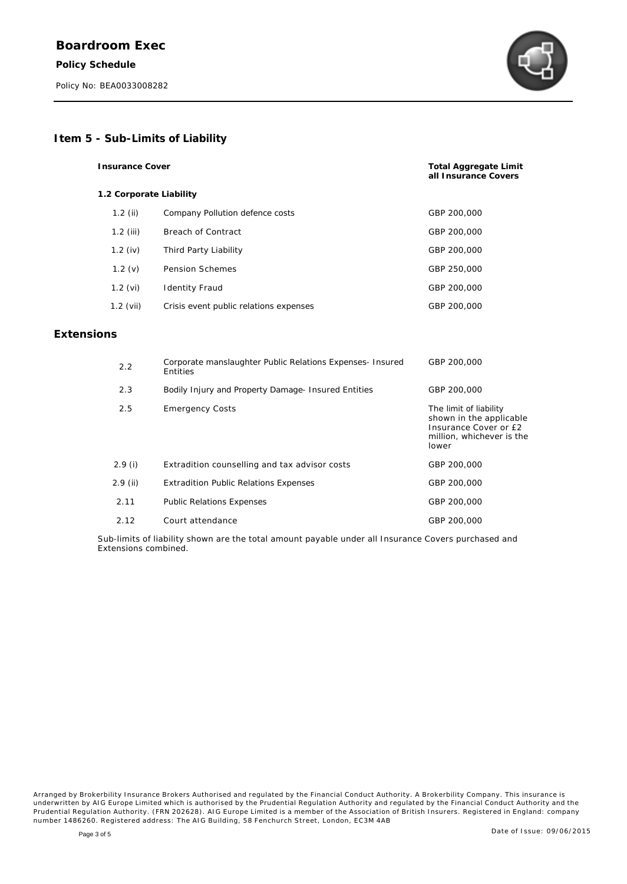**Extens** 



#### **Item 5 - Sub-Limits of Liability**

| <b>Insurance Cover</b>  |                                                                       | Total Aggregate Limit<br>all Insurance Covers                                                                    |
|-------------------------|-----------------------------------------------------------------------|------------------------------------------------------------------------------------------------------------------|
| 1.2 Corporate Liability |                                                                       |                                                                                                                  |
| $1.2$ (ii)              | Company Pollution defence costs                                       | GBP 200,000                                                                                                      |
| $1.2$ (iii)             | <b>Breach of Contract</b>                                             | GBP 200,000                                                                                                      |
| 1.2 $(iv)$              | Third Party Liability                                                 | GBP 200,000                                                                                                      |
| 1.2(y)                  | <b>Pension Schemes</b>                                                | GBP 250,000                                                                                                      |
| $1.2$ (vi)              | <b>Identity Fraud</b>                                                 | GBP 200,000                                                                                                      |
| $1.2$ (vii)             | Crisis event public relations expenses                                | GBP 200,000                                                                                                      |
| ions                    |                                                                       |                                                                                                                  |
| 2.2                     | Corporate manslaughter Public Relations Expenses- Insured<br>Entities | GBP 200,000                                                                                                      |
| 2.3                     | Bodily Injury and Property Damage- Insured Entities                   | GBP 200,000                                                                                                      |
| 2.5                     | <b>Emergency Costs</b>                                                | The limit of liability<br>shown in the applicable<br>Insurance Cover or £2<br>million, whichever is the<br>lower |
| 2.9(i)                  | Extradition counselling and tax advisor costs                         | GBP 200,000                                                                                                      |

2.11 *Public Relations Expenses* GBP 200,000 2.12 Court attendance GBP 200,000

2.9 (ii) Extradition *Public Relations Expenses* GBP 200,000

Sub-limits of liability shown are the total amount payable under all Insurance Covers purchased and Extensions combined.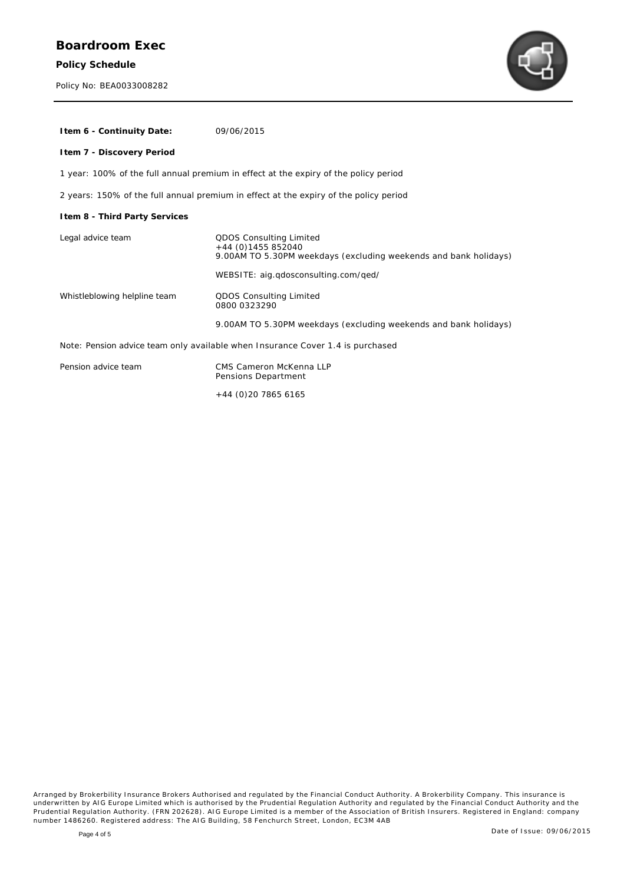**Policy Schedule**

Policy No: BEA0033008282



| I tem 6 - Continuity Date:                                                            | 09/06/2015                                                                                                                                                  |  |  |
|---------------------------------------------------------------------------------------|-------------------------------------------------------------------------------------------------------------------------------------------------------------|--|--|
| Item 7 - Discovery Period                                                             |                                                                                                                                                             |  |  |
| 1 year: 100% of the full annual premium in effect at the expiry of the policy period  |                                                                                                                                                             |  |  |
| 2 years: 150% of the full annual premium in effect at the expiry of the policy period |                                                                                                                                                             |  |  |
| I tem 8 - Third Party Services                                                        |                                                                                                                                                             |  |  |
| Legal advice team                                                                     | QDOS Consulting Limited<br>$+44$ (0)1455 852040<br>9.00AM TO 5.30PM weekdays (excluding weekends and bank holidays)<br>WEBSITE: aig.gdosconsulting.com/ged/ |  |  |
| Whistleblowing helpline team                                                          | QDOS Consulting Limited<br>0800 0323290                                                                                                                     |  |  |
|                                                                                       | 9.00AM TO 5.30PM weekdays (excluding weekends and bank holidays)                                                                                            |  |  |
| Note: Pension advice team only available when Insurance Cover 1.4 is purchased        |                                                                                                                                                             |  |  |
| Depoint advise toom                                                                   | CMC Comeron Melconnell D                                                                                                                                    |  |  |

| Pension advice team | CMS Cameron McKenna LLP |
|---------------------|-------------------------|
|                     | Pensions Department     |
|                     |                         |

+44 (0)20 7865 6165